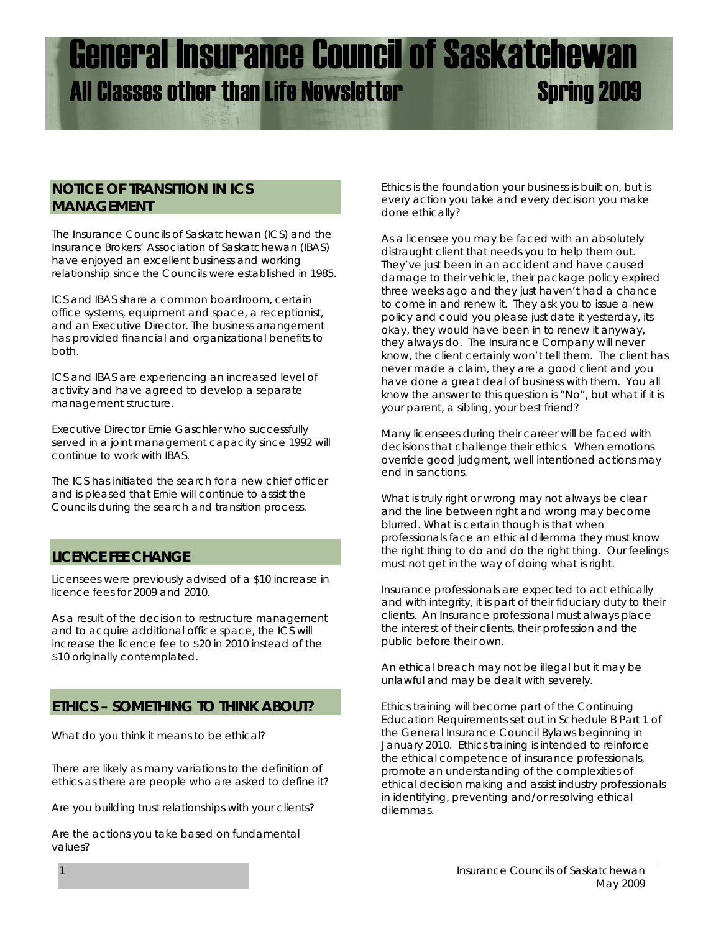# General Insurance Council of Saskatchewan All Classes other than Life Newsletter Spring 2009

# **NOTICE OF TRANSITION IN ICS MANAGEMENT**

The Insurance Councils of Saskatchewan (ICS) and the Insurance Brokers' Association of Saskatchewan (IBAS) have enjoyed an excellent business and working relationship since the Councils were established in 1985.

ICS and IBAS share a common boardroom, certain office systems, equipment and space, a receptionist, and an Executive Director. The business arrangement has provided financial and organizational benefits to both.

ICS and IBAS are experiencing an increased level of activity and have agreed to develop a separate management structure.

Executive Director Ernie Gaschler who successfully served in a joint management capacity since 1992 will continue to work with IBAS.

The ICS has initiated the search for a new chief officer and is pleased that Ernie will continue to assist the Councils during the search and transition process.

# **LICENCE FEE CHANGE**

Licensees were previously advised of a \$10 increase in licence fees for 2009 and 2010.

As a result of the decision to restructure management and to acquire additional office space, the ICS will increase the licence fee to \$20 in 2010 instead of the \$10 originally contemplated.

# **ETHICS – SOMETHING TO THINK ABOUT?**

What do you think it means to be ethical?

There are likely as many variations to the definition of ethics as there are people who are asked to define it?

Are you building trust relationships with your clients?

Are the actions you take based on fundamental values?

Ethics is the foundation your business is built on, but is every action you take and every decision you make done ethically?

As a licensee you may be faced with an absolutely distraught client that needs you to help them out. They've just been in an accident and have caused damage to their vehicle, their package policy expired three weeks ago and they just haven't had a chance to come in and renew it. They ask you to issue a new policy and could you please just date it yesterday, its okay, they would have been in to renew it anyway, they always do. The Insurance Company will never know, the client certainly won't tell them. The client has never made a claim, they are a good client and you have done a great deal of business with them. You all know the answer to this question is "No", but what if it is your parent, a sibling, your best friend?

Many licensees during their career will be faced with decisions that challenge their ethics. When emotions override good judgment, well intentioned actions may end in sanctions.

What is truly right or wrong may not always be clear and the line between right and wrong may become blurred. What is certain though is that when professionals face an ethical dilemma they must know the right thing to do and do the right thing. Our feelings must not get in the way of doing what is right.

Insurance professionals are expected to act ethically and with integrity, it is part of their fiduciary duty to their clients. An Insurance professional must always place the interest of their clients, their profession and the public before their own.

An ethical breach may not be illegal but it may be unlawful and may be dealt with severely.

Ethics training will become part of the Continuing Education Requirements set out in Schedule B Part 1 of the General Insurance Council Bylaws beginning in January 2010. Ethics training is intended to reinforce the ethical competence of insurance professionals, promote an understanding of the complexities of ethical decision making and assist industry professionals in identifying, preventing and/or resolving ethical dilemmas.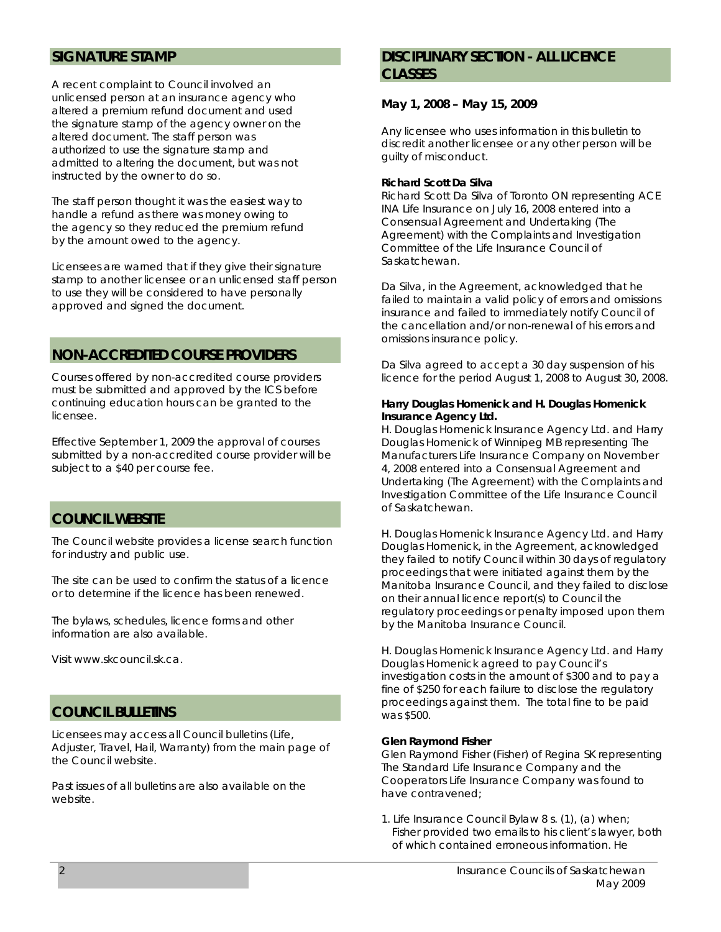## **SIGNATURE STAMP**

A recent complaint to Council involved an unlicensed person at an insurance agency who altered a premium refund document and used the signature stamp of the agency owner on the altered document. The staff person was authorized to use the signature stamp and admitted to altering the document, but was not instructed by the owner to do so.

The staff person thought it was the easiest way to handle a refund as there was money owing to the agency so they reduced the premium refund by the amount owed to the agency.

Licensees are warned that if they give their signature stamp to another licensee or an unlicensed staff person to use they will be considered to have personally approved and signed the document.

# **NON-ACCREDITED COURSE PROVIDERS**

Courses offered by non-accredited course providers must be submitted and approved by the ICS before continuing education hours can be granted to the licensee.

Effective September 1, 2009 the approval of courses submitted by a non-accredited course provider will be subject to a \$40 per course fee.

# **COUNCIL WEBSITE**

The Council website provides a license search function for industry and public use.

The site can be used to confirm the status of a licence or to determine if the licence has been renewed.

The bylaws, schedules, licence forms and other information are also available.

Visit [www.skcouncil.sk.ca.](http://www.skcouncil.sk.ca/)

# **COUNCIL BULLETINS**

Licensees may access all Council bulletins (Life, Adjuster, Travel, Hail, Warranty) from the main page of the Council website.

Past issues of all bulletins are also available on the website.

## **DISCIPLINARY SECTION - ALL LICENCE CLASSES**

## **May 1, 2008 – May 15, 2009**

Any licensee who uses information in this bulletin to discredit another licensee or any other person will be guilty of misconduct.

#### **Richard Scott Da Silva**

Richard Scott Da Silva of Toronto ON representing ACE INA Life Insurance on July 16, 2008 entered into a Consensual Agreement and Undertaking (The Agreement) with the Complaints and Investigation Committee of the Life Insurance Council of Saskatchewan.

Da Silva, in the Agreement, acknowledged that he failed to maintain a valid policy of errors and omissions insurance and failed to immediately notify Council of the cancellation and/or non-renewal of his errors and omissions insurance policy.

Da Silva agreed to accept a 30 day suspension of his licence for the period August 1, 2008 to August 30, 2008.

#### **Harry Douglas Homenick and H. Douglas Homenick Insurance Agency Ltd.**

H. Douglas Homenick Insurance Agency Ltd. and Harry Douglas Homenick of Winnipeg MB representing The Manufacturers Life Insurance Company on November 4, 2008 entered into a Consensual Agreement and Undertaking (The Agreement) with the Complaints and Investigation Committee of the Life Insurance Council of Saskatchewan.

H. Douglas Homenick Insurance Agency Ltd. and Harry Douglas Homenick, in the Agreement, acknowledged they failed to notify Council within 30 days of regulatory proceedings that were initiated against them by the Manitoba Insurance Council, and they failed to disclose on their annual licence report(s) to Council the regulatory proceedings or penalty imposed upon them by the Manitoba Insurance Council.

H. Douglas Homenick Insurance Agency Ltd. and Harry Douglas Homenick agreed to pay Council's investigation costs in the amount of \$300 and to pay a fine of \$250 for each failure to disclose the regulatory proceedings against them. The total fine to be paid was \$500.

## **Glen Raymond Fisher**

Glen Raymond Fisher (Fisher) of Regina SK representing The Standard Life Insurance Company and the Cooperators Life Insurance Company was found to have contravened;

1. Life Insurance Council Bylaw 8 s. (1), (a) when; Fisher provided two emails to his client's lawyer, both of which contained erroneous information. He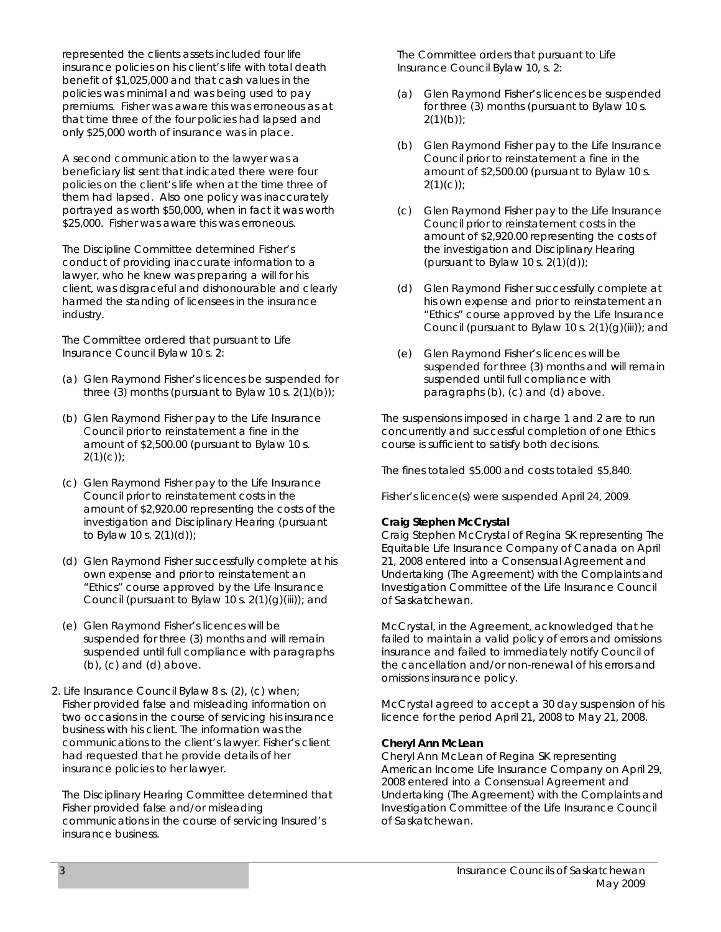represented the clients assets included four life insurance policies on his client's life with total death benefit of \$1,025,000 and that cash values in the policies was minimal and was being used to pay premiums. Fisher was aware this was erroneous as at that time three of the four policies had lapsed and only \$25,000 worth of insurance was in place.

 A second communication to the lawyer was a beneficiary list sent that indicated there were four policies on the client's life when at the time three of them had lapsed. Also one policy was inaccurately portrayed as worth \$50,000, when in fact it was worth \$25,000. Fisher was aware this was erroneous.

 The Discipline Committee determined Fisher's conduct of providing inaccurate information to a lawyer, who he knew was preparing a will for his client, was disgraceful and dishonourable and clearly harmed the standing of licensees in the insurance industry.

 The Committee ordered that pursuant to Life Insurance Council Bylaw 10 s. 2:

- (a) Glen Raymond Fisher's licences be suspended for three (3) months (pursuant to Bylaw 10 s.  $2(1)(b)$ );
- (b) Glen Raymond Fisher pay to the Life Insurance Council prior to reinstatement a fine in the amount of \$2,500.00 (pursuant to Bylaw 10 s.  $2(1)(c)$ ;
- (c) Glen Raymond Fisher pay to the Life Insurance Council prior to reinstatement costs in the amount of \$2,920.00 representing the costs of the investigation and Disciplinary Hearing (pursuant to Bylaw 10 s. 2(1)(d));
- (d) Glen Raymond Fisher successfully complete at his own expense and prior to reinstatement an "Ethics" course approved by the Life Insurance Council (pursuant to Bylaw 10 s.  $2(1)(g)(iii)$ ; and
- (e) Glen Raymond Fisher's licences will be suspended for three (3) months and will remain suspended until full compliance with paragraphs (b), (c) and (d) above.
- 2. Life Insurance Council Bylaw 8 s. (2), (c) when; Fisher provided false and misleading information on two occasions in the course of servicing his insurance business with his client. The information was the communications to the client's lawyer. Fisher's client had requested that he provide details of her insurance policies to her lawyer.

 The Disciplinary Hearing Committee determined that Fisher provided false and/or misleading communications in the course of servicing Insured's insurance business.

 The Committee orders that pursuant to Life Insurance Council Bylaw 10, s. 2:

- (a) Glen Raymond Fisher's licences be suspended for three (3) months (pursuant to Bylaw 10 s.  $2(1)(b)$ ;
- (b) Glen Raymond Fisher pay to the Life Insurance Council prior to reinstatement a fine in the amount of \$2,500.00 (pursuant to Bylaw 10 s.  $2(1)(c)$ ;
- (c) Glen Raymond Fisher pay to the Life Insurance Council prior to reinstatement costs in the amount of \$2,920.00 representing the costs of the investigation and Disciplinary Hearing (pursuant to Bylaw 10 s.  $2(1)(d)$ );
- (d) Glen Raymond Fisher successfully complete at his own expense and prior to reinstatement an "Ethics" course approved by the Life Insurance Council (pursuant to Bylaw 10 s.  $2(1)(g)(iii)$ ; and
- (e) Glen Raymond Fisher's licences will be suspended for three (3) months and will remain suspended until full compliance with paragraphs (b), (c) and (d) above.

The suspensions imposed in charge 1 and 2 are to run concurrently and successful completion of one Ethics course is sufficient to satisfy both decisions.

The fines totaled \$5,000 and costs totaled \$5,840.

Fisher's licence(s) were suspended April 24, 2009.

## **Craig Stephen McCrystal**

Craig Stephen McCrystal of Regina SK representing The Equitable Life Insurance Company of Canada on April 21, 2008 entered into a Consensual Agreement and Undertaking (The Agreement) with the Complaints and Investigation Committee of the Life Insurance Council of Saskatchewan.

McCrystal, in the Agreement, acknowledged that he failed to maintain a valid policy of errors and omissions insurance and failed to immediately notify Council of the cancellation and/or non-renewal of his errors and omissions insurance policy.

McCrystal agreed to accept a 30 day suspension of his licence for the period April 21, 2008 to May 21, 2008.

## **Cheryl Ann McLean**

Cheryl Ann McLean of Regina SK representing American Income Life Insurance Company on April 29, 2008 entered into a Consensual Agreement and Undertaking (The Agreement) with the Complaints and Investigation Committee of the Life Insurance Council of Saskatchewan.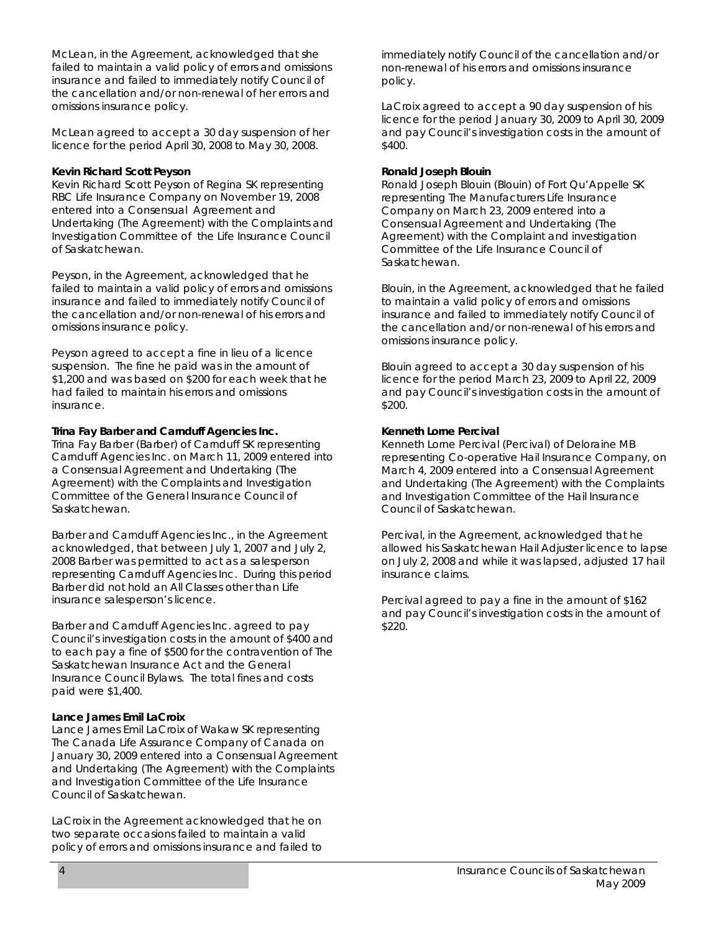McLean, in the Agreement, acknowledged that she failed to maintain a valid policy of errors and omissions insurance and failed to immediately notify Council of the cancellation and/or non-renewal of her errors and omissions insurance policy.

McLean agreed to accept a 30 day suspension of her licence for the period April 30, 2008 to May 30, 2008.

## **Kevin Richard Scott Peyson**

Kevin Richard Scott Peyson of Regina SK representing RBC Life Insurance Company on November 19, 2008 entered into a Consensual Agreement and Undertaking (The Agreement) with the Complaints and Investigation Committee of the Life Insurance Council of Saskatchewan.

Peyson, in the Agreement, acknowledged that he failed to maintain a valid policy of errors and omissions insurance and failed to immediately notify Council of the cancellation and/or non-renewal of his errors and omissions insurance policy.

Peyson agreed to accept a fine in lieu of a licence suspension. The fine he paid was in the amount of \$1,200 and was based on \$200 for each week that he had failed to maintain his errors and omissions insurance.

#### **Trina Fay Barber and Carnduff Agencies Inc.**

Trina Fay Barber (Barber) of Carnduff SK representing Carnduff Agencies Inc. on March 11, 2009 entered into a Consensual Agreement and Undertaking (The Agreement) with the Complaints and Investigation Committee of the General Insurance Council of Saskatchewan.

Barber and Carnduff Agencies Inc., in the Agreement acknowledged, that between July 1, 2007 and July 2, 2008 Barber was permitted to act as a salesperson representing Carnduff Agencies Inc. During this period Barber did not hold an All Classes other than Life insurance salesperson's licence.

Barber and Carnduff Agencies Inc. agreed to pay Council's investigation costs in the amount of \$400 and to each pay a fine of \$500 for the contravention of *The Saskatchewan Insurance Act* and the General Insurance Council Bylaws. The total fines and costs paid were \$1,400.

#### **Lance James Emil LaCroix**

Lance James Emil LaCroix of Wakaw SK representing The Canada Life Assurance Company of Canada on January 30, 2009 entered into a Consensual Agreement and Undertaking (The Agreement) with the Complaints and Investigation Committee of the Life Insurance Council of Saskatchewan.

LaCroix in the Agreement acknowledged that he on two separate occasions failed to maintain a valid policy of errors and omissions insurance and failed to immediately notify Council of the cancellation and/or non-renewal of his errors and omissions insurance policy.

LaCroix agreed to accept a 90 day suspension of his licence for the period January 30, 2009 to April 30, 2009 and pay Council's investigation costs in the amount of \$400.

#### **Ronald Joseph Blouin**

Ronald Joseph Blouin (Blouin) of Fort Qu'Appelle SK representing The Manufacturers Life Insurance Company on March 23, 2009 entered into a Consensual Agreement and Undertaking (The Agreement) with the Complaint and investigation Committee of the Life Insurance Council of Saskatchewan.

Blouin, in the Agreement, acknowledged that he failed to maintain a valid policy of errors and omissions insurance and failed to immediately notify Council of the cancellation and/or non-renewal of his errors and omissions insurance policy.

Blouin agreed to accept a 30 day suspension of his licence for the period March 23, 2009 to April 22, 2009 and pay Council's investigation costs in the amount of \$200.

#### **Kenneth Lorne Percival**

Kenneth Lorne Percival (Percival) of Deloraine MB representing Co-operative Hail Insurance Company, on March 4, 2009 entered into a Consensual Agreement and Undertaking (The Agreement) with the Complaints and Investigation Committee of the Hail Insurance Council of Saskatchewan.

Percival, in the Agreement, acknowledged that he allowed his Saskatchewan Hail Adjuster licence to lapse on July 2, 2008 and while it was lapsed, adjusted 17 hail insurance claims.

Percival agreed to pay a fine in the amount of \$162 and pay Council's investigation costs in the amount of \$220.